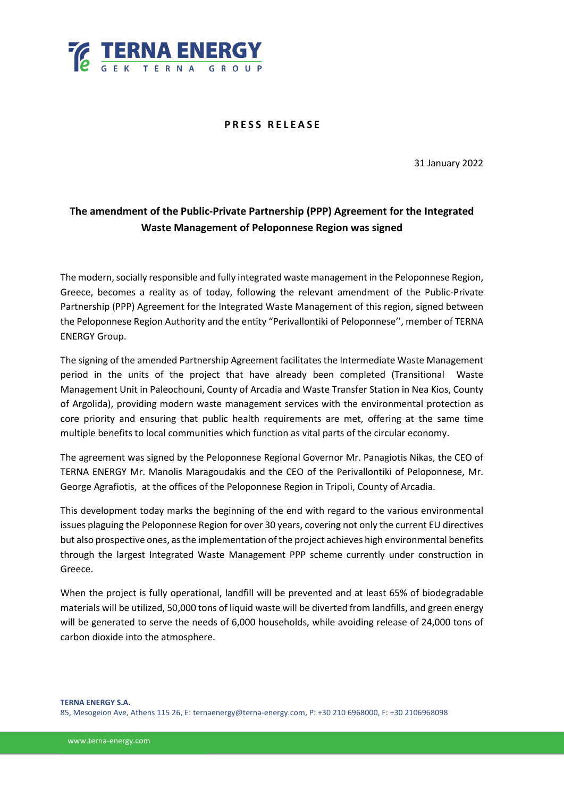

## **P R E S S R E L E A S E**

31 January 2022

## **The amendment of the Public-Private Partnership (PPP) Agreement for the Integrated Waste Management of Peloponnese Region was signed**

The modern, socially responsible and fully integrated waste management in the Peloponnese Region, Greece, becomes a reality as of today, following the relevant amendment of the Public-Private Partnership (PPP) Agreement for the Integrated Waste Management of this region, signed between the Peloponnese Region Authority and the entity "Perivallontiki of Peloponnese'', member of TERNA ENERGY Group.

The signing of the amended Partnership Agreement facilitates the Intermediate Waste Management period in the units of the project that have already been completed (Transitional Waste Management Unit in Paleochouni, County of Arcadia and Waste Transfer Station in Nea Kios, County of Argolida), providing modern waste management services with the environmental protection as core priority and ensuring that public health requirements are met, offering at the same time multiple benefits to local communities which function as vital parts of the circular economy.

The agreement was signed by the Peloponnese Regional Governor Mr. Panagiotis Nikas, the CEO of TERNA ENERGY Mr. Manolis Maragoudakis and the CEO of the Perivallontiki of Peloponnese, Mr. George Agrafiotis, at the offices of the Peloponnese Region in Tripoli, County of Arcadia.

This development today marks the beginning of the end with regard to the various environmental issues plaguing the Peloponnese Region for over 30 years, covering not only the current EU directives but also prospective ones, as the implementation of the project achieves high environmental benefits through the largest Integrated Waste Management PPP scheme currently under construction in Greece.

When the project is fully operational, landfill will be prevented and at least 65% of biodegradable materials will be utilized, 50,000 tons of liquid waste will be diverted from landfills, and green energy will be generated to serve the needs of 6,000 households, while avoiding release of 24,000 tons of carbon dioxide into the atmosphere.